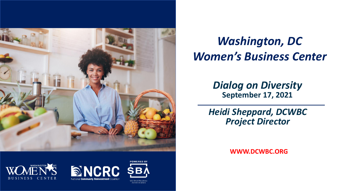

### *Washington, DC Women's Business Center*

*Dialog on Diversity* **September 17, 2021**

*Heidi Sheppard, DCWBC Project Director*

**WWW.DCWBC.ORG**



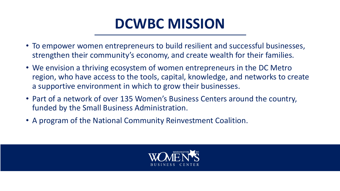## **DCWBC MISSION**

- To empower women entrepreneurs to build resilient and successful businesses, strengthen their community's economy, and create wealth for their families.
- We envision a thriving ecosystem of women entrepreneurs in the DC Metro region, who have access to the tools, capital, knowledge, and networks to create a supportive environment in which to grow their businesses.
- Part of a network of over 135 Women's Business Centers around the country, funded by the Small Business Administration.
- A program of the National Community Reinvestment Coalition.

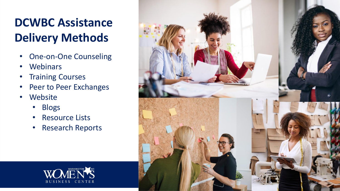## **DCWBC Assistance Delivery Methods**

- One-on-One Counseling
- Webinars
- Training Courses
- Peer to Peer Exchanges
- Website
	- Blogs
	- Resource Lists
	- Research Reports



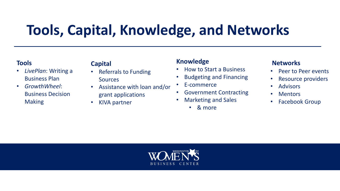## **Tools, Capital, Knowledge, and Networks**

#### **Tools**

- *LivePlan*: Writing a Business Plan
- *GrowthWheel*: Business Decision **Making**

#### **Capital**

- Referrals to Funding Sources
- Assistance with loan and/or grant applications
- KIVA partner

#### **Knowledge**

- How to Start a Business
- Budgeting and Financing
- E-commerce
- Government Contracting
- Marketing and Sales
	- & more

#### **Networks**

- Peer to Peer events
- Resource providers
- Advisors
- Mentors
- Facebook Group

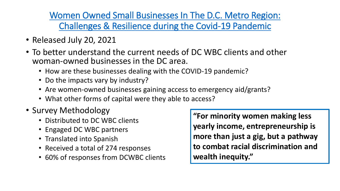[Women Owned Small Businesses In The D.C. Metro Region:](https://ncrc.org/women-owned-small-businesses-in-d-c-metro-region-challenges-resilience-in-a-time-of-pandemic-elementor/) Challenges & Resilience during the Covid-19 Pandemic

- Released July 20, 2021
- To better understand the current needs of DC WBC clients and other woman-owned businesses in the DC area.
	- How are these businesses dealing with the COVID-19 pandemic?
	- Do the impacts vary by industry?
	- Are women-owned businesses gaining access to emergency aid/grants?
	- What other forms of capital were they able to access?
- Survey Methodology
	- Distributed to DC WBC clients
	- Engaged DC WBC partners
	- Translated into Spanish
	- Received a total of 274 responses
	- 60% of responses from DCWBC clients

**"For minority women making less yearly income, entrepreneurship is more than just a gig, but a pathway to combat racial discrimination and wealth inequity."**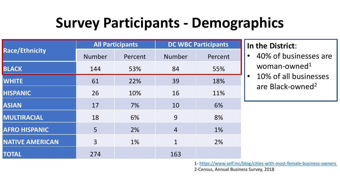## **Survey Participants - Demographics**

|                        |               | <b>All Participants</b> | <b>DC WBC Participants</b> |         |
|------------------------|---------------|-------------------------|----------------------------|---------|
| <b>Race/Ethnicity</b>  | <b>Number</b> | Percent                 | Number                     | Percent |
| <b>BLACK</b>           | 144           | 53%                     | 84                         | 55%     |
| <b>WHITE</b>           | 61            | 22%                     | 39                         | 18%     |
| <b>HISPANIC</b>        | 26            | 10%                     | 16                         | 11%     |
| <b>ASIAN</b>           | 17            | 7%                      | 10                         | 6%      |
| MULTIRACIAL            | 18            | 6%                      | 9                          | 8%      |
| <b>AFRO HISPANIC</b>   | 5             | 2%                      | $\overline{4}$             | 1%      |
| <b>NATIVE AMERICAN</b> | 3             | 1%                      | 1                          | 2%      |
| <b>TOTAL</b>           | 274           |                         | 163                        |         |

### **In the District**:

- 40% of businesses are woman-owned<sup>1</sup>
- 10% of all businesses are Black-owned<sup>2</sup>

1- <https://www.self.inc/blog/cities-with-most-female-business-owners>

2-Census, Annual Business Survey, 2018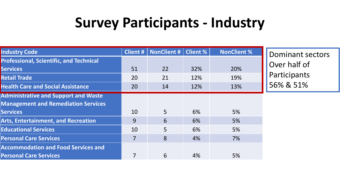## **Survey Participants - Industry**

| <b>Industry Code</b>                                                                                         | <b>Client #</b> | NonClient #    | <b>Client %</b> | <b>NonClient %</b> | <b>Dominant sectors</b> |
|--------------------------------------------------------------------------------------------------------------|-----------------|----------------|-----------------|--------------------|-------------------------|
| <b>Professional, Scientific, and Technical</b><br><b>Services</b>                                            | 51              | 22             | 32%             | 20%                | Over half of            |
| <b>Retail Trade</b>                                                                                          | 20              | 21             | 12%             | 19%                | Participants            |
| <b>Health Care and Social Assistance</b>                                                                     | 20              | 14             | 12%             | 13%                | 56% & 51%               |
| <b>Administrative and Support and Waste</b><br><b>Management and Remediation Services</b><br><b>Services</b> | 10              | 5 <sup>1</sup> | 6%              | 5%                 |                         |
| <b>Arts, Entertainment, and Recreation</b>                                                                   | 9               | 6              | 6%              | 5%                 |                         |
| <b>Educational Services</b>                                                                                  | 10              | $\overline{5}$ | 6%              | 5%                 |                         |
| <b>Personal Care Services</b>                                                                                | $\overline{7}$  | 8              | 4%              | 7%                 |                         |
| <b>Accommodation and Food Services and</b><br><b>Personal Care Services</b>                                  | 7               | 6              | 4%              | 5%                 |                         |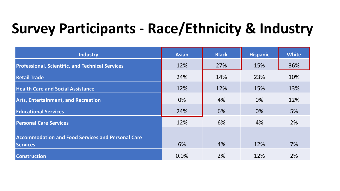# **Survey Participants - Race/Ethnicity & Industry**

| <b>Industry</b>                                          | <b>Asian</b> | <b>Black</b> | <b>Hispanic</b> | <b>White</b> |
|----------------------------------------------------------|--------------|--------------|-----------------|--------------|
| <b>Professional, Scientific, and Technical Services</b>  | 12%          | 27%          | 15%             | 36%          |
| <b>Retail Trade</b>                                      | 24%          | 14%          | 23%             | 10%          |
| <b>Health Care and Social Assistance</b>                 | 12%          | 12%          | 15%             | 13%          |
| <b>Arts, Entertainment, and Recreation</b>               | 0%           | 4%           | 0%              | 12%          |
| <b>Educational Services</b>                              | 24%          | 6%           | 0%              | 5%           |
| <b>Personal Care Services</b>                            | 12%          | 6%           | 4%              | 2%           |
| <b>Accommodation and Food Services and Personal Care</b> |              |              |                 |              |
| <b>Services</b>                                          | 6%           | 4%           | 12%             | 7%           |
| <b>Construction</b>                                      | 0.0%         | 2%           | 12%             | 2%           |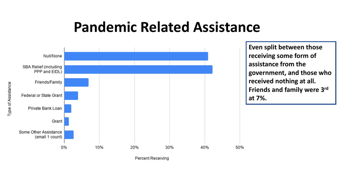### **Pandemic Related Assistance**



**Even split between those receiving some form of assistance from the government, and those who received nothing at all. Friends and family were 3rd at 7%.**

50%

Type of Assistance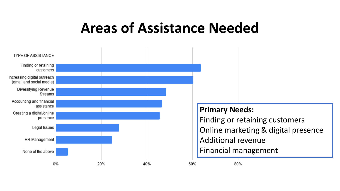## **Areas of Assistance Needed**

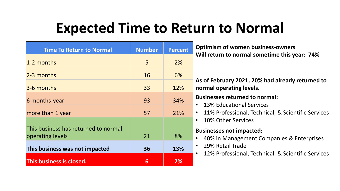## **Expected Time to Return to Normal**

| <b>Time To Return to Normal</b>                          | <b>Number</b>   | <b>Percent</b> | Optimi<br>Will ret          |
|----------------------------------------------------------|-----------------|----------------|-----------------------------|
| 1-2 months                                               | 5               | 2%             |                             |
| 2-3 months                                               | 16              | 6%             |                             |
| 3-6 months                                               | 33              | 12%            | As of F<br>normal           |
| 6 months-year                                            | 93              | 34%            | <b>Busine</b>               |
| more than 1 year                                         | 57              | 21%            | 13%<br>11%                  |
| This business has returned to normal<br>operating levels | 21              | 8%             | 10%<br><b>Busine</b><br>40% |
| This business was not impacted                           | 36              | 13%            | 29%<br>12%                  |
| This business is closed.                                 | $6\phantom{1}6$ | 2%             |                             |

**sses not impacted:** 6 in Management Companies & Enterprises 6 Retail Trade 6 Professional, Technical, & Scientific Services **sses returned to normal:** 6 Educational Services 6 Professional, Technical, & Scientific Services 6 Other Services **Optimism of women business-owners Will return to normal sometime this year: 74% As of February 2021, 20% had already returned to non-** operating levels.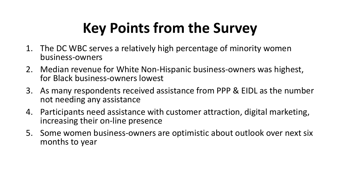# **Key Points from the Survey**

- 1. The DC WBC serves a relatively high percentage of minority women business-owners
- 2. Median revenue for White Non-Hispanic business-owners was highest, for Black business-owners lowest
- 3. As many respondents received assistance from PPP & EIDL as the number not needing any assistance
- 4. Participants need assistance with customer attraction, digital marketing, increasing their on-line presence
- 5. Some women business-owners are optimistic about outlook over next six months to year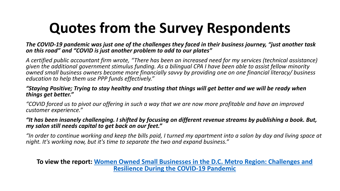## **Quotes from the Survey Respondents**

*The COVID-19 pandemic was just one of the challenges they faced in their business journey, "just another task on this road" and "COVID is just another problem to add to our plates"*

*A certified public accountant firm wrote, "There has been an increased need for my services (technical assistance) given the additional government stimulus funding. As a bilingual CPA I have been able to assist fellow minority owned small business owners become more financially savvy by providing one on one financial literacy/ business education to help them use PPP funds effectively."*

#### *"Staying Positive; Trying to stay healthy and trusting that things will get better and we will be ready when things get better."*

*"COVID forced us to pivot our offering in such a way that we are now more profitable and have an improved customer experience."*

#### *"It has been insanely challenging. I shifted by focusing on different revenue streams by publishing a book. But, my salon still needs capital to get back on our feet."*

*"In order to continue working and keep the bills paid, I turned my apartment into a salon by day and living space at night. It's working now, but it's time to separate the two and expand business."*

**To view the report: [Women Owned Small Businesses in the D.C. Metro Region: Challenges and](https://ncrc.org/?p=99011&preview=1&_ppp=6da544a693)  Resilience During the COVID-19 Pandemic**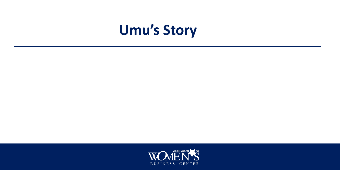## **Umu's Story**